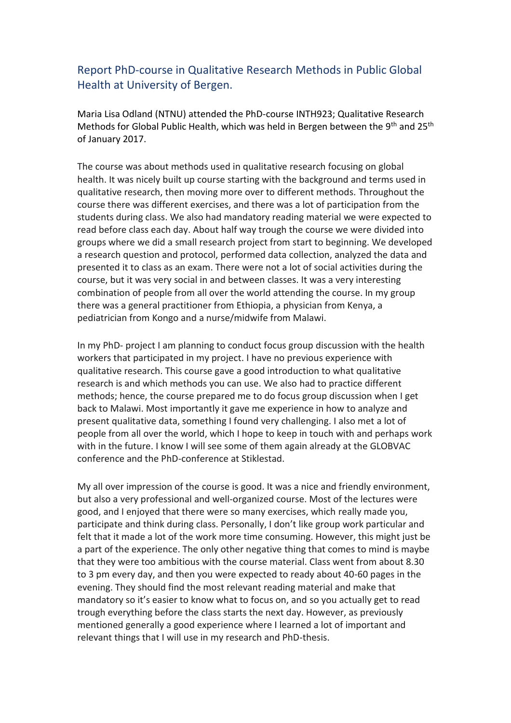Report PhD-course in Qualitative Research Methods in Public Global Health at University of Bergen.

Maria Lisa Odland (NTNU) attended the PhD-course INTH923; Qualitative Research Methods for Global Public Health, which was held in Bergen between the 9<sup>th</sup> and 25<sup>th</sup> of January 2017.

The course was about methods used in qualitative research focusing on global health. It was nicely built up course starting with the background and terms used in qualitative research, then moving more over to different methods. Throughout the course there was different exercises, and there was a lot of participation from the students during class. We also had mandatory reading material we were expected to read before class each day. About half way trough the course we were divided into groups where we did a small research project from start to beginning. We developed a research question and protocol, performed data collection, analyzed the data and presented it to class as an exam. There were not a lot of social activities during the course, but it was very social in and between classes. It was a very interesting combination of people from all over the world attending the course. In my group there was a general practitioner from Ethiopia, a physician from Kenya, a pediatrician from Kongo and a nurse/midwife from Malawi.

In my PhD- project I am planning to conduct focus group discussion with the health workers that participated in my project. I have no previous experience with qualitative research. This course gave a good introduction to what qualitative research is and which methods you can use. We also had to practice different methods; hence, the course prepared me to do focus group discussion when I get back to Malawi. Most importantly it gave me experience in how to analyze and present qualitative data, something I found very challenging. I also met a lot of people from all over the world, which I hope to keep in touch with and perhaps work with in the future. I know I will see some of them again already at the GLOBVAC conference and the PhD-conference at Stiklestad.

My all over impression of the course is good. It was a nice and friendly environment, but also a very professional and well-organized course. Most of the lectures were good, and I enjoyed that there were so many exercises, which really made you, participate and think during class. Personally, I don't like group work particular and felt that it made a lot of the work more time consuming. However, this might just be a part of the experience. The only other negative thing that comes to mind is maybe that they were too ambitious with the course material. Class went from about 8.30 to 3 pm every day, and then you were expected to ready about 40-60 pages in the evening. They should find the most relevant reading material and make that mandatory so it's easier to know what to focus on, and so you actually get to read trough everything before the class starts the next day. However, as previously mentioned generally a good experience where I learned a lot of important and relevant things that I will use in my research and PhD-thesis.